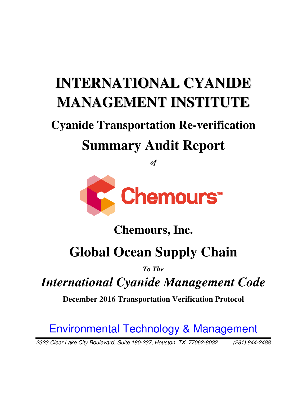# **INTERNATIONAL CYANIDE MANAGEMENT INSTITUTE**

# **Cyanide Transportation Re-verification Summary Audit Report**

*of* 



## **Chemours Chemours, Inc.**

# **Global Ocean Supply Chain Supply Chain**

*To The* 

*International Cyanide Management Code International* 

**December 2016 Transportation Verification Protocol** 

Environmental Technology & Management

2323 Clear Lake City Boulevard, Suite 180 180-237, Houston, TX 77062-8032 (281) 844 8032 (281) 844-2488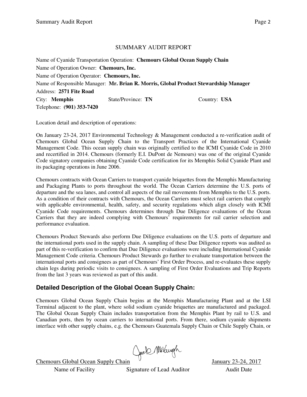#### SUMMARY AUDIT REPORT

Name of Cyanide Transportation Operation: **Chemours Global Ocean Supply Chain**  Name of Operation Owner: **Chemours, Inc.**  Name of Operation Operator: **Chemours, Inc.** Name of Responsible Manager: **Mr. Brian R. Morris, Global Product Stewardship Manager**  Address: **2571 Fite Road** City: **Memphis** State/Province: **TN** Country: **USA** Telephone: **(901) 353-7420**

Location detail and description of operations:

On January 23-24, 2017 Environmental Technology & Management conducted a re-verification audit of Chemours Global Ocean Supply Chain to the Transport Practices of the International Cyanide Management Code. This ocean supply chain was originally certified to the ICMI Cyanide Code in 2010 and recertified in 2014. Chemours (formerly E.I. DuPont de Nemours) was one of the original Cyanide Code signatory companies obtaining Cyanide Code certification for its Memphis Solid Cyanide Plant and its packaging operations in June 2006.

Chemours contracts with Ocean Carriers to transport cyanide briquettes from the Memphis Manufacturing and Packaging Plants to ports throughout the world. The Ocean Carriers determine the U.S. ports of departure and the sea lanes, and control all aspects of the rail movements from Memphis to the U.S. ports. As a condition of their contracts with Chemours, the Ocean Carriers must select rail carriers that comply with applicable environmental, health, safety, and security regulations which align closely with ICMI Cyanide Code requirements. Chemours determines through Due Diligence evaluations of the Ocean Carriers that they are indeed complying with Chemours' requirements for rail carrier selection and performance evaluation.

Chemours Product Stewards also perform Due Diligence evaluations on the U.S. ports of departure and the international ports used in the supply chain. A sampling of these Due Diligence reports was audited as part of this re-verification to confirm that Due Diligence evaluations were including International Cyanide Management Code criteria. Chemours Product Stewards go further to evaluate transportation between the international ports and consignees as part of Chemours' First Order Process, and re-evaluates these supply chain legs during periodic visits to consignees. A sampling of First Order Evaluations and Trip Reports from the last 3 years was reviewed as part of this audit.

#### **Detailed Description of the Global Ocean Supply Chain:**

Chemours Global Ocean Supply Chain begins at the Memphis Manufacturing Plant and at the LSI Terminal adjacent to the plant, where solid sodium cyanide briquettes are manufactured and packaged. The Global Ocean Supply Chain includes transportation from the Memphis Plant by rail to U.S. and Canadian ports, then by ocean carriers to international ports. From there, sodium cyanide shipments interface with other supply chains, e.g. the Chemours Guatemala Supply Chain or Chile Supply Chain, or

Chemours Global Ocean Supply Chain (Jack MkVaugh January 23-24, 2017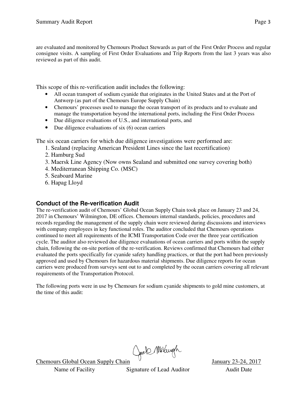are evaluated and monitored by Chemours Product Stewards as part of the First Order Process and regular consignee visits. A sampling of First Order Evaluations and Trip Reports from the last 3 years was also reviewed as part of this audit.

This scope of this re-verification audit includes the following:

- All ocean transport of sodium cyanide that originates in the United States and at the Port of Antwerp (as part of the Chemours Europe Supply Chain)
- Chemours' processes used to manage the ocean transport of its products and to evaluate and manage the transportation beyond the international ports, including the First Order Process
- Due diligence evaluations of U.S., and international ports, and
- Due diligence evaluations of six  $(6)$  ocean carriers

The six ocean carriers for which due diligence investigations were performed are:

- 1. Sealand (replacing American President Lines since the last recertification)
- 2. Hamburg Sud
- 3. Maersk Line Agency (Now owns Sealand and submitted one survey covering both)
- 4. Mediterranean Shipping Co. (MSC)
- 5. Seaboard Marine
- 6. Hapag Lloyd

#### **Conduct of the Re-verification Audit**

The re-verification audit of Chemours' Global Ocean Supply Chain took place on January 23 and 24, 2017 in Chemours' Wilmington, DE offices. Chemours internal standards, policies, procedures and records regarding the management of the supply chain were reviewed during discussions and interviews with company employees in key functional roles. The auditor concluded that Chemours operations continued to meet all requirements of the ICMI Transportation Code over the three year certification cycle. The auditor also reviewed due diligence evaluations of ocean carriers and ports within the supply chain, following the on-site portion of the re-verification. Reviews confirmed that Chemours had either evaluated the ports specifically for cyanide safety handling practices, or that the port had been previously approved and used by Chemours for hazardous material shipments. Due diligence reports for ocean carriers were produced from surveys sent out to and completed by the ocean carriers covering all relevant requirements of the Transportation Protocol.

The following ports were in use by Chemours for sodium cyanide shipments to gold mine customers, at the time of this audit:

Chemours Global Ocean Supply Chain Chell Multugh January 23-24, 2017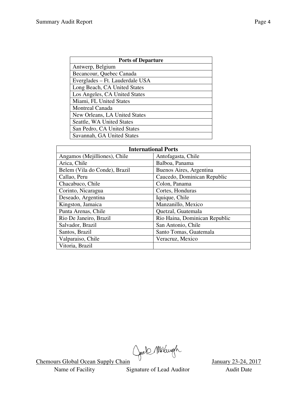| <b>Ports of Departure</b>       |  |  |  |  |
|---------------------------------|--|--|--|--|
| Antwerp, Belgium                |  |  |  |  |
| Becancour, Quebec Canada        |  |  |  |  |
| Everglades – Ft. Lauderdale USA |  |  |  |  |
| Long Beach, CA United States    |  |  |  |  |
| Los Angeles, CA United States   |  |  |  |  |
| Miami, FL United States         |  |  |  |  |
| Montreal Canada                 |  |  |  |  |
| New Orleans, LA United States   |  |  |  |  |
| Seattle, WA United States       |  |  |  |  |
| San Pedro, CA United States     |  |  |  |  |
| Savannah, GA United States      |  |  |  |  |

| <b>International Ports</b>    |                               |  |  |  |
|-------------------------------|-------------------------------|--|--|--|
| Angamos (Mejilliones), Chile  | Antofagasta, Chile            |  |  |  |
| Arica, Chile                  | Balboa, Panama                |  |  |  |
| Belem (Vila do Conde), Brazil | Buenos Aires, Argentina       |  |  |  |
| Callao, Peru                  | Caucedo, Dominican Republic   |  |  |  |
| Chacabuco, Chile              | Colon, Panama                 |  |  |  |
| Corinto, Nicaragua            | Cortes, Honduras              |  |  |  |
| Deseado, Argentina            | Iquique, Chile                |  |  |  |
| Kingston, Jamaica             | Manzanillo, Mexico            |  |  |  |
| Punta Arenas, Chile           | Quetzal, Guatemala            |  |  |  |
| Rio De Janeiro, Brazil        | Rio Haina, Dominican Republic |  |  |  |
| Salvador, Brazil              | San Antonio, Chile            |  |  |  |
| Santos, Brazil                | Santo Tomas, Guatemala        |  |  |  |
| Valparaiso, Chile             | Veracruz, Mexico              |  |  |  |
| Vitoria, Brazil               |                               |  |  |  |

Chemours Global Ocean Supply Chain (Joek MhVaugh January 23-24, 2017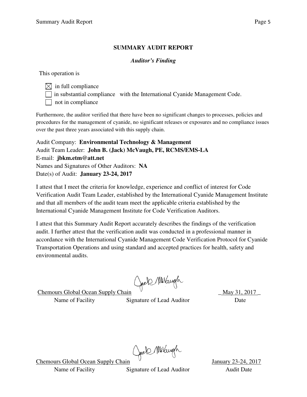#### **SUMMARY AUDIT REPORT**

#### *Auditor's Finding*

This operation is

 $\boxtimes$  in full compliance  $\Box$  in substantial compliance with the International Cyanide Management Code.  $\Box$  not in compliance

Furthermore, the auditor verified that there have been no significant changes to processes, policies and procedures for the management of cyanide, no significant releases or exposures and no compliance issues over the past three years associated with this supply chain.

Audit Company: **Environmental Technology & Management**  Audit Team Leader: **John B. (Jack) McVaugh, PE, RCMS/EMS-LA**  E-mail: **jbkm.etm@att.net**  Names and Signatures of Other Auditors: **NA** Date(s) of Audit: **January 23-24, 2017** 

I attest that I meet the criteria for knowledge, experience and conflict of interest for Code Verification Audit Team Leader, established by the International Cyanide Management Institute and that all members of the audit team meet the applicable criteria established by the International Cyanide Management Institute for Code Verification Auditors.

I attest that this Summary Audit Report accurately describes the findings of the verification audit. I further attest that the verification audit was conducted in a professional manner in accordance with the International Cyanide Management Code Verification Protocol for Cyanide Transportation Operations and using standard and accepted practices for health, safety and environmental audits.

Chemours Global Ocean Supply Chain Chel Milangh \_ May 31, 2017

Name of Facility Signature of Lead Auditor Date

Chemours Global Ocean Supply Chain Chele Mulaugh January 23-24, 2017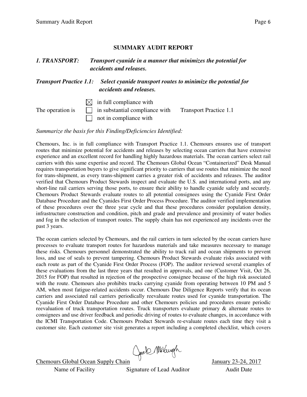#### **SUMMARY AUDIT REPORT**

#### *1. TRANSPORT: Transport cyanide in a manner that minimizes the potential for accidents and releases.*

*Transport Practice 1.1: Select cyanide transport routes to minimize the potential for accidents and releases.*

 $\boxtimes$  in full compliance with

The operation is  $\Box$  in substantial compliance with Transport Practice 1.1  $\Box$  not in compliance with

*Summarize the basis for this Finding/Deficiencies Identified:* 

Chemours, Inc. is in full compliance with Transport Practice 1.1. Chemours ensures use of transport routes that minimize potential for accidents and releases by selecting ocean carriers that have extensive experience and an excellent record for handling highly hazardous materials. The ocean carriers select rail carriers with this same expertise and record. The Chemours Global Ocean "Containerized" Desk Manual requires transportation buyers to give significant priority to carriers that use routes that minimize the need for trans-shipment, as every trans-shipment carries a greater risk of accidents and releases. The auditor verified that Chemours Product Stewards inspect and evaluate the U.S. and international ports, and any short-line rail carriers serving those ports, to ensure their ability to handle cyanide safely and securely. Chemours Product Stewards evaluate routes to all potential consignees using the Cyanide First Order Database Procedure and the Cyanides First Order Process Procedure. The auditor verified implementation of these procedures over the three year cycle and that these procedures consider population density, infrastructure construction and condition, pitch and grade and prevalence and proximity of water bodies and fog in the selection of transport routes. The supply chain has not experienced any incidents over the past 3 years.

The ocean carriers selected by Chemours, and the rail carriers in turn selected by the ocean carriers have processes to evaluate transport routes for hazardous materials and take measures necessary to manage these risks. Chemours personnel demonstrated the ability to track rail and ocean shipments to prevent loss, and use of seals to prevent tampering. Chemours Product Stewards evaluate risks associated with each route as part of the Cyanide First Order Process (FOP). The auditor reviewed several examples of these evaluations from the last three years that resulted in approvals, and one (Customer Visit, Oct 26, 2015 for FOP) that resulted in rejection of the prospective consignee because of the high risk associated with the route. Chemours also prohibits trucks carrying cyanide from operating between 10 PM and 5 AM, when most fatigue-related accidents occur. Chemours Due Diligence Reports verify that its ocean carriers and associated rail carriers periodically reevaluate routes used for cyanide transportation. The Cyanide First Order Database Procedure and other Chemours policies and procedures ensure periodic reevaluation of truck transportation routes. Truck transporters evaluate primary & alternate routes to consignees and use driver feedback and periodic driving of routes to evaluate changes, in accordance with the ICMI Transportation Code. Chemours Product Stewards re-evaluate routes each time they visit a customer site. Each customer site visit generates a report including a completed checklist, which covers

Chemours Global Ocean Supply Chain Chel Multugh January 23-24, 2017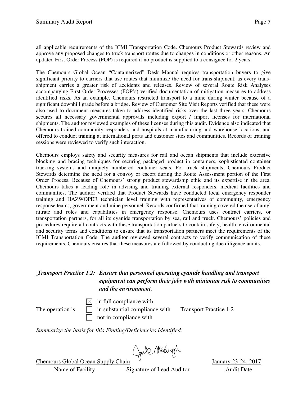all applicable requirements of the ICMI Transportation Code. Chemours Product Stewards review and approve any proposed changes to truck transport routes due to changes in conditions or other reasons. An updated First Order Process (FOP) is required if no product is supplied to a consignee for 2 years.

The Chemours Global Ocean "Containerized" Desk Manual requires transportation buyers to give significant priority to carriers that use routes that minimize the need for trans-shipment, as every transshipment carries a greater risk of accidents and releases. Review of several Route Risk Analyses accompanying First Order Processes (FOP's) verified documentation of mitigation measures to address identified risks. As an example, Chemours restricted transport to a mine during winter because of a significant downhill grade before a bridge. Review of Customer Site Visit Reports verified that these were also used to document measures taken to address identified risks over the last three years. Chemours secures all necessary governmental approvals including export / import licenses for international shipments. The auditor reviewed examples of these licenses during this audit. Evidence also indicated that Chemours trained community responders and hospitals at manufacturing and warehouse locations, and offered to conduct training at international ports and customer sites and communities. Records of training sessions were reviewed to verify such interaction.

Chemours employs safety and security measures for rail and ocean shipments that include extensive blocking and bracing techniques for securing packaged product in containers, sophisticated container tracking systems and uniquely numbered container seals. For truck shipments, Chemours Product Stewards determine the need for a convoy or escort during the Route Assessment portion of the First Order Process. Because of Chemours' strong product stewardship ethic and its expertise in the area, Chemours takes a leading role in advising and training external responders, medical facilities and communities. The auditor verified that Product Stewards have conducted local emergency responder training and HAZWOPER technician level training with representatives of community, emergency response teams, government and mine personnel. Records confirmed that training covered the use of amyl nitrate and roles and capabilities in emergency response. Chemours uses contract carriers, or transportation partners, for all its cyanide transportation by sea, rail and truck. Chemours' policies and procedures require all contracts with these transportation partners to contain safety, health, environmental and security terms and conditions to ensure that its transportation partners meet the requirements of the ICMI Transportation Code. The auditor reviewed several contracts to verify communication of these requirements. Chemours ensures that these measures are followed by conducting due diligence audits.

#### *Transport Practice 1.2: Ensure that personnel operating cyanide handling and transport equipment can perform their jobs with minimum risk to communities and the environment.*

 $\boxtimes$  in full compliance with The operation is  $\Box$  in substantial compliance with Transport Practice 1.2 not in compliance with

*Summarize the basis for this Finding/Deficiencies Identified:* 

Chemours Global Ocean Supply Chain Chel Multugh January 23-24, 2017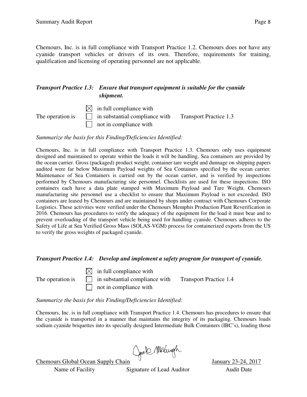Chemours, Inc. is in full compliance with Transport Practice 1.2. Chemours does not have any cyanide transport vehicles or drivers of its own. Therefore, requirements for training, qualification and licensing of operating personnel are not applicable.

#### *Transport Practice 1.3: Ensure that transport equipment is suitable for the cyanide shipment.*

|  | $\boxtimes$ in full compliance with                                           |  |
|--|-------------------------------------------------------------------------------|--|
|  | The operation is $\Box$ in substantial compliance with Transport Practice 1.3 |  |
|  | $\Box$ not in compliance with                                                 |  |

*Summarize the basis for this Finding/Deficiencies Identified:* 

Chemours, Inc. is in full compliance with Transport Practice 1.3. Chemours only uses equipment designed and maintained to operate within the loads it will be handling. Sea containers are provided by the ocean carrier. Gross (packaged) product weight, container tare weight and dunnage on shipping papers audited were far below Maximum Payload weights of Sea Containers specified by the ocean carrier. Maintenance of Sea Containers is carried out by the ocean carrier, and is verified by inspections performed by Chemours manufacturing site personnel. Checklists are used for these inspections. ISO containers each have a data plate stamped with Maximum Payload and Tare Weight. Chemours manufacturing site personnel use a checklist to ensure that Maximum Payload is not exceeded. ISO containers are leased by Chemours and are maintained by shops under contract with Chemours Corporate Logistics. These activities were verified under the Chemours Memphis Production Plant Reverification in 2016. Chemours has procedures to verify the adequacy of the equipment for the load it must bear and to prevent overloading of the transport vehicle being used for handling cyanide. Chemours adheres to the Safety of Life at Sea Verified Gross Mass (SOLAS-VGM) process for containerized exports from the US to verify the gross weights of packaged cyanide.

#### *Transport Practice 1.4: Develop and implement a safety program for transport of cyanide.*

 $\bowtie$  in full compliance with The operation is  $\Box$  in substantial compliance with Transport Practice 1.4

not in compliance with

*Summarize the basis for this Finding/Deficiencies Identified:* 

Chemours, Inc. is in full compliance with Transport Practice 1.4. Chemours has procedures to ensure that the cyanide is transported in a manner that maintains the integrity of its packaging. Chemours loads sodium cyanide briquettes into its specially designed Intermediate Bulk Containers (IBC's), loading those

Chemours Global Ocean Supply Chain (Jack MhVaugh January 23-24, 2017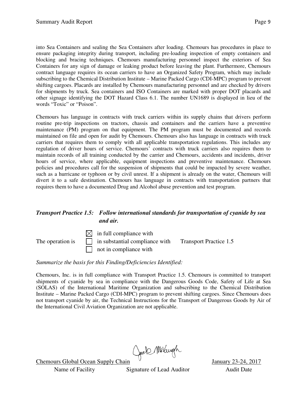into Sea Containers and sealing the Sea Containers after loading. Chemours has procedures in place to ensure packaging integrity during transport, including pre-loading inspection of empty containers and blocking and bracing techniques. Chemours manufacturing personnel inspect the exteriors of Sea Containers for any sign of damage or leaking product before leaving the plant. Furthermore, Chemours contract language requires its ocean carriers to have an Organized Safety Program, which may include subscribing to the Chemical Distribution Institute – Marine Packed Cargo (CDI-MPC) program to prevent shifting cargoes. Placards are installed by Chemours manufacturing personnel and are checked by drivers for shipments by truck. Sea containers and ISO Containers are marked with proper DOT placards and other signage identifying the DOT Hazard Class 6.1. The number UN1689 is displayed in lieu of the words "Toxic" or "Poison".

Chemours has language in contracts with truck carriers within its supply chains that drivers perform routine pre-trip inspections on tractors, chassis and containers and the carriers have a preventive maintenance (PM) program on that equipment. The PM program must be documented and records maintained on file and open for audit by Chemours. Chemours also has language in contracts with truck carriers that requires them to comply with all applicable transportation regulations. This includes any regulation of driver hours of service. Chemours' contracts with truck carriers also requires them to maintain records of all training conducted by the carrier and Chemours, accidents and incidents, driver hours of service, where applicable, equipment inspections and preventive maintenance. Chemours policies and procedures call for the suspension of shipments that could be impacted by severe weather, such as a hurricane or typhoon or by civil unrest. If a shipment is already on the water, Chemours will divert it to a safe destination. Chemours has language in contracts with transportation partners that requires them to have a documented Drug and Alcohol abuse prevention and test program.

#### *Transport Practice 1.5: Follow international standards for transportation of cyanide by sea and air.*

 $\boxtimes$  in full compliance with The operation is  $\Box$  in substantial compliance with Transport Practice 1.5 not in compliance with

#### *Summarize the basis for this Finding/Deficiencies Identified:*

Chemours, Inc. is in full compliance with Transport Practice 1.5. Chemours is committed to transport shipments of cyanide by sea in compliance with the Dangerous Goods Code, Safety of Life at Sea (SOLAS) of the International Maritime Organization and subscribing to the Chemical Distribution Institute – Marine Packed Cargo (CDI-MPC) program to prevent shifting cargoes. Since Chemours does not transport cyanide by air, the Technical Instructions for the Transport of Dangerous Goods by Air of the International Civil Aviation Organization are not applicable.

Chemours Global Ocean Supply Chain Chell Multugh January 23-24, 2017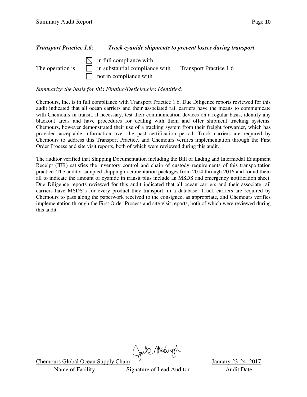#### *Transport Practice 1.6: Track cyanide shipments to prevent losses during transport.*

 $\boxtimes$  in full compliance with The operation is  $\Box$  in substantial compliance with Transport Practice 1.6 not in compliance with

*Summarize the basis for this Finding/Deficiencies Identified:* 

Chemours, Inc. is in full compliance with Transport Practice 1.6. Due Diligence reports reviewed for this audit indicated that all ocean carriers and their associated rail carriers have the means to communicate with Chemours in transit, if necessary, test their communication devices on a regular basis, identify any blackout areas and have procedures for dealing with them and offer shipment tracking systems. Chemours, however demonstrated their use of a tracking system from their freight forwarder, which has provided acceptable information over the past certification period. Truck carriers are required by Chemours to address this Transport Practice, and Chemours verifies implementation through the First Order Process and site visit reports, both of which were reviewed during this audit.

The auditor verified that Shipping Documentation including the Bill of Lading and Intermodal Equipment Receipt (IER) satisfies the inventory control and chain of custody requirements of this transportation practice. The auditor sampled shipping documentation packages from 2014 through 2016 and found them all to indicate the amount of cyanide in transit plus include an MSDS and emergency notification sheet. Due Diligence reports reviewed for this audit indicated that all ocean carriers and their associate rail carriers have MSDS's for every product they transport, in a database. Truck carriers are required by Chemours to pass along the paperwork received to the consignee, as appropriate, and Chemours verifies implementation through the First Order Process and site visit reports, both of which were reviewed during this audit.

Chemours Global Ocean Supply Chain Chell Multugh January 23-24, 2017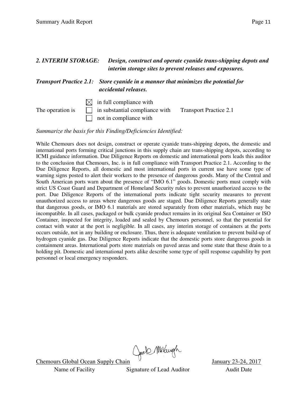| 2. INTERIM STORAGE: |  |                                                                                                                          | Design, construct and operate cyanide trans-shipping depots and<br>interim storage sites to prevent releases and exposures. |  |
|---------------------|--|--------------------------------------------------------------------------------------------------------------------------|-----------------------------------------------------------------------------------------------------------------------------|--|
|                     |  | <b>Transport Practice 2.1:</b> Store cyanide in a manner that minimizes the potential for<br><i>accidental releases.</i> |                                                                                                                             |  |
| The operation is    |  | $\bowtie$ in full compliance with<br>in substantial compliance with<br>not in compliance with                            | <b>Transport Practice 2.1</b>                                                                                               |  |

*Summarize the basis for this Finding/Deficiencies Identified:* 

While Chemours does not design, construct or operate cyanide trans-shipping depots, the domestic and international ports forming critical junctions in this supply chain are trans-shipping depots, according to ICMI guidance information. Due Diligence Reports on domestic and international ports leads this auditor to the conclusion that Chemours, Inc. is in full compliance with Transport Practice 2.1. According to the Due Diligence Reports, all domestic and most international ports in current use have some type of warning signs posted to alert their workers to the presence of dangerous goods. Many of the Central and South American ports warn about the presence of "IMO 6.1" goods. Domestic ports must comply with strict US Coast Guard and Department of Homeland Security rules to prevent unauthorized access to the port. Due Diligence Reports of the international ports indicate tight security measures to prevent unauthorized access to areas where dangerous goods are staged. Due Diligence Reports generally state that dangerous goods, or IMO 6.1 materials are stored separately from other materials, which may be incompatible. In all cases, packaged or bulk cyanide product remains in its original Sea Container or ISO Container, inspected for integrity, loaded and sealed by Chemours personnel, so that the potential for contact with water at the port is negligible. In all cases, any interim storage of containers at the ports occurs outside, not in any building or enclosure. Thus, there is adequate ventilation to prevent build-up of hydrogen cyanide gas. Due Diligence Reports indicate that the domestic ports store dangerous goods in containment areas. International ports store materials on paved areas and some state that these drain to a holding pit. Domestic and international ports alike describe some type of spill response capability by port personnel or local emergency responders.

Chemours Global Ocean Supply Chain Chell Multiple January 23-24, 2017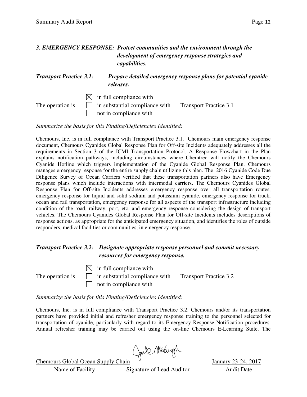#### *3. EMERGENCY RESPONSE: Protect communities and the environment through the development of emergency response strategies and capabilities.*

#### *Transport Practice 3.1: Prepare detailed emergency response plans for potential cyanide releases.*

 $\boxtimes$  in full compliance with The operation is  $\Box$  in substantial compliance with Transport Practice 3.1 not in compliance with

*Summarize the basis for this Finding/Deficiencies Identified:* 

Chemours, Inc. is in full compliance with Transport Practice 3.1. Chemours main emergency response document, Chemours Cyanides Global Response Plan for Off-site Incidents adequately addresses all the requirements in Section 3 of the ICMI Transportation Protocol. A Response Flowchart in the Plan explains notification pathways, including circumstances where Chemtrec will notify the Chemours Cyanide Hotline which triggers implementation of the Cyanide Global Response Plan. Chemours manages emergency response for the entire supply chain utilizing this plan. The 2016 Cyanide Code Due Diligence Survey of Ocean Carriers verified that these transportation partners also have Emergency response plans which include interactions with intermodal carriers. The Chemours Cyanides Global Response Plan for Off-site Incidents addresses emergency response over all transportation routes, emergency response for liquid and solid sodium and potassium cyanide, emergency response for truck, ocean and rail transportation, emergency response for all aspects of the transport infrastructure including condition of the road, railway, port, etc. and emergency response considering the design of transport vehicles. The Chemours Cyanides Global Response Plan for Off-site Incidents includes descriptions of response actions, as appropriate for the anticipated emergency situation, and identifies the roles of outside responders, medical facilities or communities, in emergency response.

#### *Transport Practice 3.2: Designate appropriate response personnel and commit necessary resources for emergency response.*

 $\boxtimes$  in full compliance with The operation is  $\Box$  in substantial compliance with Transport Practice 3.2 not in compliance with

*Summarize the basis for this Finding/Deficiencies Identified:* 

Chemours, Inc. is in full compliance with Transport Practice 3.2. Chemours and/or its transportation partners have provided initial and refresher emergency response training to the personnel selected for transportation of cyanide, particularly with regard to its Emergency Response Notification procedures. Annual refresher training may be carried out using the on-line Chemours E-Learning Suite. The

Chemours Global Ocean Supply Chain Cael Mulaugh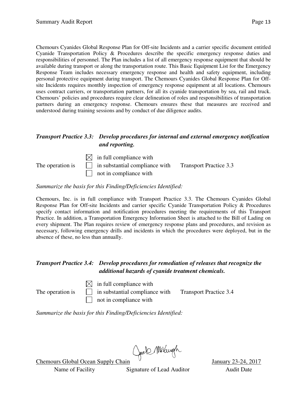Chemours Cyanides Global Response Plan for Off-site Incidents and a carrier specific document entitled Cyanide Transportation Policy & Procedures describe the specific emergency response duties and responsibilities of personnel. The Plan includes a list of all emergency response equipment that should be available during transport or along the transportation route. This Basic Equipment List for the Emergency Response Team includes necessary emergency response and health and safety equipment, including personal protective equipment during transport. The Chemours Cyanides Global Response Plan for Offsite Incidents requires monthly inspection of emergency response equipment at all locations. Chemours uses contract carriers, or transportation partners, for all its cyanide transportation by sea, rail and truck. Chemours' policies and procedures require clear delineation of roles and responsibilities of transportation partners during an emergency response. Chemours ensures these that measures are received and understood during training sessions and by conduct of due diligence audits.

#### *Transport Practice 3.3: Develop procedures for internal and external emergency notification and reporting.*

 $\boxtimes$  in full compliance with The operation is  $\Box$  in substantial compliance with Transport Practice 3.3  $\Box$  not in compliance with

#### *Summarize the basis for this Finding/Deficiencies Identified:*

Chemours, Inc. is in full compliance with Transport Practice 3.3. The Chemours Cyanides Global Response Plan for Off-site Incidents and carrier specific Cyanide Transportation Policy & Procedures specify contact information and notification procedures meeting the requirements of this Transport Practice. In addition, a Transportation Emergency Information Sheet is attached to the Bill of Lading on every shipment. The Plan requires review of emergency response plans and procedures, and revision as necessary, following emergency drills and incidents in which the procedures were deployed, but in the absence of these, no less than annually.

#### *Transport Practice 3.4: Develop procedures for remediation of releases that recognize the additional hazards of cyanide treatment chemicals.*

 $\boxtimes$  in full compliance with The operation is  $\Box$  in substantial compliance with Transport Practice 3.4 not in compliance with

*Summarize the basis for this Finding/Deficiencies Identified:* 

Name of Facility Signature of Lead Auditor Audit Date

Chemours Global Ocean Supply Chain Chell Multugh January 23-24, 2017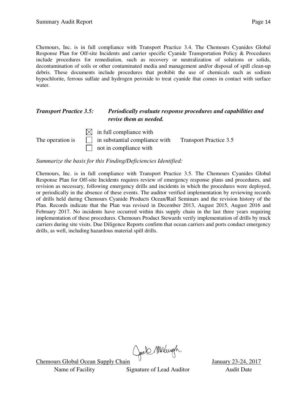Chemours, Inc. is in full compliance with Transport Practice 3.4. The Chemours Cyanides Global Response Plan for Off-site Incidents and carrier specific Cyanide Transportation Policy & Procedures include procedures for remediation, such as recovery or neutralization of solutions or solids, decontamination of soils or other contaminated media and management and/or disposal of spill clean-up debris. These documents include procedures that prohibit the use of chemicals such as sodium hypochlorite, ferrous sulfate and hydrogen peroxide to treat cyanide that comes in contact with surface water.

#### *Transport Practice 3.5: Periodically evaluate response procedures and capabilities and revise them as needed.*



*Summarize the basis for this Finding/Deficiencies Identified:* 

Chemours, Inc. is in full compliance with Transport Practice 3.5. The Chemours Cyanides Global Response Plan for Off-site Incidents requires review of emergency response plans and procedures, and revision as necessary, following emergency drills and incidents in which the procedures were deployed, or periodically in the absence of these events. The auditor verified implementation by reviewing records of drills held during Chemours Cyanide Products Ocean/Rail Seminars and the revision history of the Plan. Records indicate that the Plan was revised in December 2013, August 2015, August 2016 and February 2017. No incidents have occurred within this supply chain in the last three years requiring implementation of these procedures. Chemours Product Stewards verify implementation of drills by truck carriers during site visits. Due Diligence Reports confirm that ocean carriers and ports conduct emergency drills, as well, including hazardous material spill drills.

Chemours Global Ocean Supply Chain Cheek Multugh January 23-24, 2017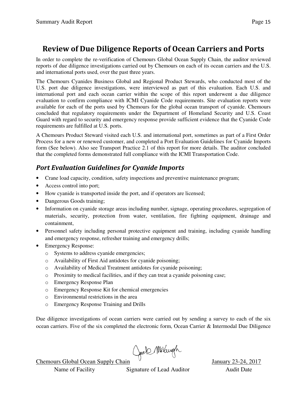## **Review of Due Diligence Reports of Ocean Carriers and Ports**

In order to complete the re-verification of Chemours Global Ocean Supply Chain, the auditor reviewed reports of due diligence investigations carried out by Chemours on each of its ocean carriers and the U.S. and international ports used, over the past three years.

The Chemours Cyanides Business Global and Regional Product Stewards, who conducted most of the U.S. port due diligence investigations, were interviewed as part of this evaluation. Each U.S. and international port and each ocean carrier within the scope of this report underwent a due diligence evaluation to confirm compliance with ICMI Cyanide Code requirements. Site evaluation reports were available for each of the ports used by Chemours for the global ocean transport of cyanide. Chemours concluded that regulatory requirements under the Department of Homeland Security and U.S. Coast Guard with regard to security and emergency response provide sufficient evidence that the Cyanide Code requirements are fulfilled at U.S. ports.

A Chemours Product Steward visited each U.S. and international port, sometimes as part of a First Order Process for a new or renewed customer, and completed a Port Evaluation Guidelines for Cyanide Imports form (See below). Also see Transport Practice 2.1 of this report for more details. The auditor concluded that the completed forms demonstrated full compliance with the ICMI Transportation Code.

### *Port Evaluation Guidelines for Cyanide Imports*

- Crane load capacity, condition, safety inspections and preventive maintenance program;
- Access control into port;
- How cyanide is transported inside the port, and if operators are licensed;
- Dangerous Goods training;
- Information on cyanide storage areas including number, signage, operating procedures, segregation of materials, security, protection from water, ventilation, fire fighting equipment, drainage and containment,
- Personnel safety including personal protective equipment and training, including cyanide handling and emergency response, refresher training and emergency drills;
- Emergency Response:
	- o Systems to address cyanide emergencies;
	- o Availability of First Aid antidotes for cyanide poisoning;
	- o Availability of Medical Treatment antidotes for cyanide poisoning;
	- o Proximity to medical facilities, and if they can treat a cyanide poisoning case;
	- o Emergency Response Plan
	- o Emergency Response Kit for chemical emergencies
	- o Environmental restrictions in the area
	- o Emergency Response Training and Drills

Due diligence investigations of ocean carriers were carried out by sending a survey to each of the six ocean carriers. Five of the six completed the electronic form, Ocean Carrier & Intermodal Due Diligence

Chemours Global Ocean Supply Chain Chell Multiple January 23-24, 2017